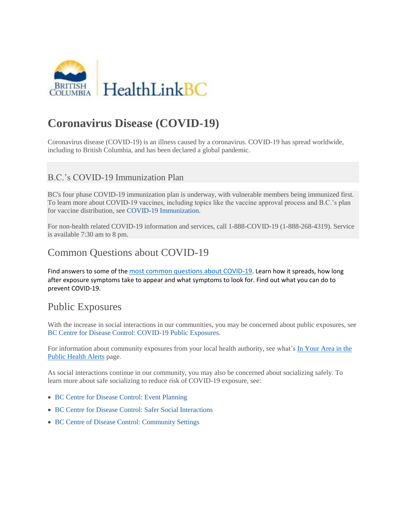

# **Coronavirus Disease (COVID-19)**

Coronavirus disease (COVID-19) is an illness caused by a coronavirus. COVID-19 has spread worldwide, including to British Columbia, and has been declared a global pandemic.

#### B.C.'s COVID-19 Immunization Plan

BC's four phase COVID-19 immunization plan is underway, with vulnerable members being immunized first. To learn more about COVID-19 vaccines, including topics like the vaccine approval process and B.C.'s plan for vaccine distribution, see [COVID-19 Immunization.](https://www.healthlinkbc.ca/covid-19/immunization)

For non-health related COVID-19 information and services, call 1-888-COVID-19 (1-888-268-4319). Service is available 7:30 am to 8 pm.

### Common Questions about COVID-19

Find answers to some of the [most common questions about COVID-19](http://www.bccdc.ca/health-info/diseases-conditions/covid-19/common-questions). Learn how it spreads, how long after exposure symptoms take to appear and what symptoms to look for. Find out what you can do to prevent COVID-19.

#### Public Exposures

With the increase in social interactions in our communities, you may be concerned about public exposures, see [BC Centre for Disease Control: COVID-19 Public Exposures.](http://www.bccdc.ca/health-info/diseases-conditions/covid-19/public-exposures)

For information about community exposures from your local health authority, see what's In Your Area in the [Public Health Alerts](https://www.healthlinkbc.ca/public-health-alerts) page.

As social interactions continue in our community, you may also be concerned about socializing safely. To learn more about safe socializing to reduce risk of COVID-19 exposure, see:

- [BC Centre for Disease Control: Event Planning](http://www.bccdc.ca/health-info/diseases-conditions/covid-19/event-planning)
- [BC Centre for Disease Control: Safer Social Interactions](http://www.bccdc.ca/health-info/diseases-conditions/covid-19/social-interactions)
- [BC Centre of Disease Control: Community Settings](http://www.bccdc.ca/health-info/diseases-conditions/covid-19/community-settings)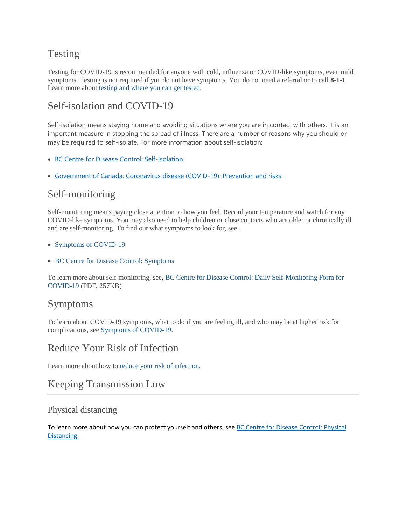# Testing

Testing for COVID-19 is recommended for anyone with cold, influenza or COVID-like symptoms, even mild symptoms. Testing is not required if you do not have symptoms. You do not need a referral or to call **8-1-1**. Learn more about [testing and where you can get tested.](https://www.healthlinkbc.ca/covid-19/testing)

## Self-isolation and COVID-19

Self-isolation means staying home and avoiding situations where you are in contact with others. It is an important measure in stopping the spread of illness. There are a number of reasons why you should or may be required to self-isolate. For more information about self-isolation:

- [BC Centre for Disease Control: Self-Isolation.](http://www.bccdc.ca/health-info/diseases-conditions/covid-19/self-isolation)
- Government [of Canada: Coronavirus disease \(COVID-19\): Prevention and risks](https://www.canada.ca/en/public-health/services/publications/diseases-conditions/self-monitoring-self-isolation-isolation-for-covid-19.html)

## Self-monitoring

Self-monitoring means paying close attention to how you feel. Record your temperature and watch for any COVID-like symptoms. You may also need to help children or close contacts who are older or chronically ill and are self-monitoring. To find out what symptoms to look for, see:

- Symptoms of COVID-19
- [BC Centre for Disease Control: Symptoms](http://www.bccdc.ca/health-info/diseases-conditions/covid-19/about-covid-19/symptoms)

To learn more about self-monitoring, see, [BC Centre for Disease Control: Daily Self-Monitoring Form for](http://www.bccdc.ca/resource-gallery/Documents/Guidelines%20and%20Forms/Guidelines%20and%20Manuals/Epid/CD%20Manual/Chapter%201%20-%20CDC/COVID19-Contact-monitoring-form.pdf)  [COVID-19](http://www.bccdc.ca/resource-gallery/Documents/Guidelines%20and%20Forms/Guidelines%20and%20Manuals/Epid/CD%20Manual/Chapter%201%20-%20CDC/COVID19-Contact-monitoring-form.pdf) (PDF, 257KB)

## Symptoms

To learn about COVID-19 symptoms, what to do if you are feeling ill, and who may be at higher risk for complications, see [Symptoms of COVID-19.](https://www.healthlinkbc.ca/symptoms-covid-19)

# Reduce Your Risk of Infection

Learn more about how to [reduce your risk of infection.](https://www.healthlinkbc.ca/reduce-your-risk-infection)

## Keeping Transmission Low

#### Physical distancing

To learn more about how you can protect yourself and others, see [BC Centre for Disease Control: Physical](http://www.bccdc.ca/health-info/diseases-conditions/covid-19/prevention-risks/physical-distancing)  [Distancing.](http://www.bccdc.ca/health-info/diseases-conditions/covid-19/prevention-risks/physical-distancing)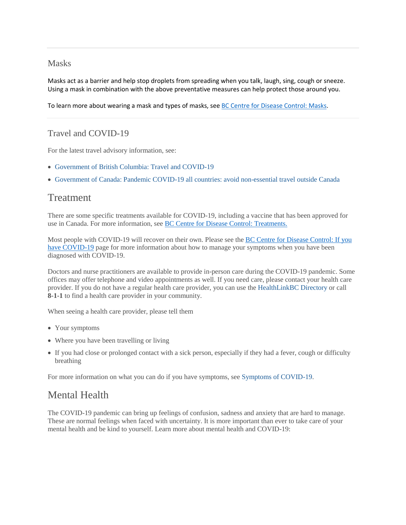#### Masks

Masks act as a barrier and help stop droplets from spreading when you talk, laugh, sing, cough or sneeze. Using a mask in combination with the above preventative measures can help protect those around you.

To learn more about wearing a mask and types of masks, see [BC Centre for Disease Control: Masks.](http://www.bccdc.ca/health-info/diseases-conditions/covid-19/prevention-risks/masks)

#### Travel and COVID-19

For the latest travel advisory information, see:

- [Government of British Columbia: Travel and COVID-19](https://www2.gov.bc.ca/gov/content/covid-19/travel/current)
- [Government of Canada: Pandemic COVID-19 all countries: avoid non-essential travel outside Canada](https://travel.gc.ca/travelling/health-safety/travel-health-notices/221)

#### Treatment

There are some specific treatments available for COVID-19, including a vaccine that has been approved for use in Canada. For more information, see BC [Centre for Disease Control: Treatments.](http://www.bccdc.ca/health-info/diseases-conditions/covid-19/about-covid-19/treatments)

Most people with COVID-19 will recover on their own. Please see the BC [Centre for Disease Control:](http://www.bccdc.ca/health-info/diseases-conditions/covid-19/about-covid-19/if-you-have-covid-19) If you [have COVID-19](http://www.bccdc.ca/health-info/diseases-conditions/covid-19/about-covid-19/if-you-have-covid-19) page for more information about how to manage your symptoms when you have been diagnosed with COVID-19.

Doctors and nurse practitioners are available to provide in-person care during the COVID-19 pandemic. Some offices may offer telephone and video appointments as well. If you need care, please contact your health care provider. If you do not have a regular health care provider, you can use the [HealthLinkBC Directory](https://www.healthlinkbc.ca/services-and-resources/find-services) or call **8-1-1** to find a health care provider in your community.

When seeing a health care provider, please tell them

- Your symptoms
- Where you have been travelling or living
- If you had close or prolonged contact with a sick person, especially if they had a fever, cough or difficulty breathing

For more information on what you can do if you have symptoms, see [Symptoms of COVID-19.](https://www.healthlinkbc.ca/symptoms-covid-19)

## Mental Health

The COVID-19 pandemic can bring up feelings of confusion, sadness and anxiety that are hard to manage. These are normal feelings when faced with uncertainty. It is more important than ever to take care of your mental health and be kind to yourself. Learn more about mental health and COVID-19: